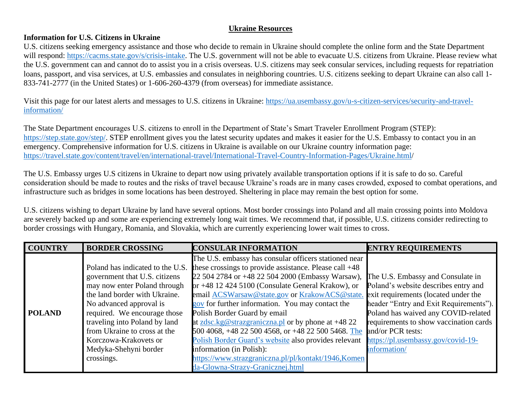## **Ukraine Resources**

## **Information for U.S. Citizens in Ukraine**

U.S. citizens seeking emergency assistance and those who decide to remain in Ukraine should complete the online form and the State Department will respond: [https://cacms.state.gov/s/crisis-intake.](https://cacms.state.gov/s/crisis-intake) The U.S. government will not be able to evacuate U.S. citizens from Ukraine. Please review what the U.S. government can and cannot do to assist you in a crisis overseas. U.S. citizens may seek consular services, including requests for repatriation loans, passport, and visa services, at U.S. embassies and consulates in neighboring countries. U.S. citizens seeking to depart Ukraine can also call 1-833-741-2777 (in the United States) or 1-606-260-4379 (from overseas) for immediate assistance.

Visit this page for our latest alerts and messages to U.S. citizens in Ukraine: [https://ua.usembassy.gov/u-s-citizen-services/security-and-travel](https://ua.usembassy.gov/u-s-citizen-services/security-and-travel-information/)[information/](https://ua.usembassy.gov/u-s-citizen-services/security-and-travel-information/)

The State Department encourages U.S. citizens to enroll in the Department of State's Smart Traveler Enrollment Program (STEP): [https://step.state.gov/step/.](https://step.state.gov/step/) STEP enrollment gives you the latest security updates and makes it easier for the U.S. Embassy to contact you in an emergency. Comprehensive information for U.S. citizens in Ukraine is available on our Ukraine country information page: [https://travel.state.gov/content/travel/en/international-travel/International-Travel-Country-Information-Pages/Ukraine.html/](https://travel.state.gov/content/travel/en/international-travel/International-Travel-Country-Information-Pages/Ukraine.html)

The U.S. Embassy urges U.S citizens in Ukraine to depart now using privately available transportation options if it is safe to do so. Careful consideration should be made to routes and the risks of travel because Ukraine's roads are in many cases crowded, exposed to combat operations, and infrastructure such as bridges in some locations has been destroyed. Sheltering in place may remain the best option for some.

U.S. citizens wishing to depart Ukraine by land have several options. Most border crossings into Poland and all main crossing points into Moldova are severely backed up and some are experiencing extremely long wait times. We recommend that, if possible, U.S. citizens consider redirecting to border crossings with Hungary, Romania, and Slovakia, which are currently experiencing lower wait times to cross.

| <b>COUNTRY</b> | <b>BORDER CROSSING</b>           | <b>CONSULAR INFORMATION</b>                            | <b>ENTRY REQUIREMENTS</b>              |
|----------------|----------------------------------|--------------------------------------------------------|----------------------------------------|
|                |                                  | The U.S. embassy has consular officers stationed near  |                                        |
|                | Poland has indicated to the U.S. | these crossings to provide assistance. Please call +48 |                                        |
|                | government that U.S. citizens    | 22 504 2784 or +48 22 504 2000 (Embassy Warsaw),       | The U.S. Embassy and Consulate in      |
|                | may now enter Poland through     | or +48 12 424 5100 (Consulate General Krakow), or      | Poland's website describes entry and   |
|                | the land border with Ukraine.    | email ACSWarsaw@state.gov or KrakowACS@state.          | exit requirements (located under the   |
|                | No advanced approval is          | gov for further information. You may contact the       | header "Entry and Exit Requirements"). |
| <b>POLAND</b>  | required. We encourage those     | Polish Border Guard by email                           | Poland has waived any COVID-related    |
|                | traveling into Poland by land    | at zdsc.kg@strazgraniczna.pl or by phone at $+4822$    | requirements to show vaccination cards |
|                | from Ukraine to cross at the     | 500 4068, +48 22 500 4568, or +48 22 500 5468. The     | and/or PCR tests:                      |
|                | Korczowa-Krakovets or            | Polish Border Guard's website also provides relevant   | https://pl.usembassy.gov/covid-19-     |
|                | Medyka-Shehyni border            | information (in Polish):                               | information/                           |
|                | crossings.                       | https://www.strazgraniczna.pl/pl/kontakt/1946,Komen    |                                        |
|                |                                  | da-Glowna-Strazy-Granicznej.html                       |                                        |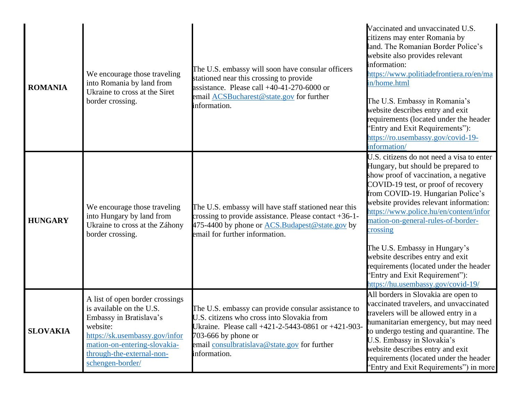| <b>ROMANIA</b>  | We encourage those traveling<br>into Romania by land from<br>Ukraine to cross at the Siret<br>border crossing.                                                                                                        | The U.S. embassy will soon have consular officers<br>stationed near this crossing to provide<br>assistance. Please call $+40-41-270-6000$ or<br>email ACSBucharest@state.gov for further<br>information.                                       | Vaccinated and unvaccinated U.S.<br>citizens may enter Romania by<br>land. The Romanian Border Police's<br>website also provides relevant<br>information:<br>https://www.politiadefrontiera.ro/en/ma<br>in/home.html<br>The U.S. Embassy in Romania's<br>website describes entry and exit<br>requirements (located under the header<br>'Entry and Exit Requirements''):<br>https://ro.usembassy.gov/covid-19-<br>information/                                                                                                     |
|-----------------|-----------------------------------------------------------------------------------------------------------------------------------------------------------------------------------------------------------------------|------------------------------------------------------------------------------------------------------------------------------------------------------------------------------------------------------------------------------------------------|-----------------------------------------------------------------------------------------------------------------------------------------------------------------------------------------------------------------------------------------------------------------------------------------------------------------------------------------------------------------------------------------------------------------------------------------------------------------------------------------------------------------------------------|
| <b>HUNGARY</b>  | We encourage those traveling<br>into Hungary by land from<br>Ukraine to cross at the Záhony<br>border crossing.                                                                                                       | The U.S. embassy will have staff stationed near this<br>crossing to provide assistance. Please contact +36-1-<br>475-4400 by phone or <b>ACS.</b> Budapest @ state. gov by<br>email for further information.                                   | U.S. citizens do not need a visa to enter<br>Hungary, but should be prepared to<br>show proof of vaccination, a negative<br>COVID-19 test, or proof of recovery<br>from COVID-19. Hungarian Police's<br>website provides relevant information:<br>https://www.police.hu/en/content/infor<br>mation-on-general-rules-of-border-<br>crossing<br>The U.S. Embassy in Hungary's<br>website describes entry and exit<br>requirements (located under the header<br>'Entry and Exit Requirement"):<br>https://hu.usembassy.gov/covid-19/ |
| <b>SLOVAKIA</b> | A list of open border crossings<br>is available on the U.S.<br>Embassy in Bratislava's<br>website:<br>https://sk.usembassy.gov/infor<br>mation-on-entering-slovakia-<br>through-the-external-non-<br>schengen-border/ | The U.S. embassy can provide consular assistance to<br>U.S. citizens who cross into Slovakia from<br>Ukraine. Please call +421-2-5443-0861 or +421-903-<br>703-666 by phone or<br>email consulbratislava@state.gov for further<br>information. | All borders in Slovakia are open to<br>vaccinated travelers, and unvaccinated<br>travelers will be allowed entry in a<br>humanitarian emergency, but may need<br>to undergo testing and quarantine. The<br>U.S. Embassy in Slovakia's<br>website describes entry and exit<br>requirements (located under the header<br>'Entry and Exit Requirements") in more                                                                                                                                                                     |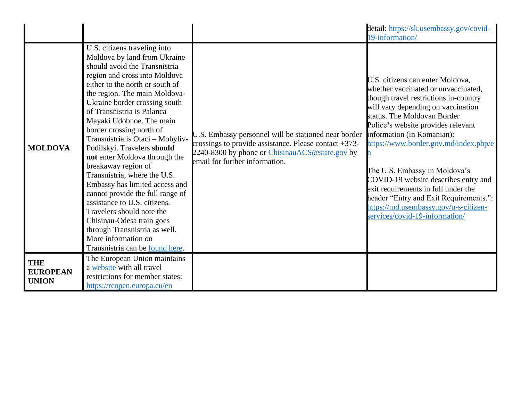|                                               |                                                                                                                                                                                                                                                                                                                                                                                                                                                                                                                                                                                                                                                                                                                                                   |                                                                                                                                                                                                              | detail: https://sk.usembassy.gov/covid-<br>19-information/                                                                                                                                                                                                                                                                                                                                                                                                                                                                              |
|-----------------------------------------------|---------------------------------------------------------------------------------------------------------------------------------------------------------------------------------------------------------------------------------------------------------------------------------------------------------------------------------------------------------------------------------------------------------------------------------------------------------------------------------------------------------------------------------------------------------------------------------------------------------------------------------------------------------------------------------------------------------------------------------------------------|--------------------------------------------------------------------------------------------------------------------------------------------------------------------------------------------------------------|-----------------------------------------------------------------------------------------------------------------------------------------------------------------------------------------------------------------------------------------------------------------------------------------------------------------------------------------------------------------------------------------------------------------------------------------------------------------------------------------------------------------------------------------|
| <b>MOLDOVA</b>                                | U.S. citizens traveling into<br>Moldova by land from Ukraine<br>should avoid the Transnistria<br>region and cross into Moldova<br>either to the north or south of<br>the region. The main Moldova-<br>Ukraine border crossing south<br>of Transnistria is Palanca -<br>Mayaki Udobnoe. The main<br>border crossing north of<br>Transnistria is Otaci - Mohyliv-<br>Podilskyi. Travelers should<br>not enter Moldova through the<br>breakaway region of<br>Transnistria, where the U.S.<br>Embassy has limited access and<br>cannot provide the full range of<br>assistance to U.S. citizens.<br>Travelers should note the<br>Chisinau-Odesa train goes<br>through Transnistria as well.<br>More information on<br>Transnistria can be found here. | U.S. Embassy personnel will be stationed near border<br>crossings to provide assistance. Please contact $+373$ -<br>2240-8300 by phone or <i>ChisinauACS</i> @state.gov by<br>email for further information. | U.S. citizens can enter Moldova,<br>whether vaccinated or unvaccinated,<br>though travel restrictions in-country<br>will vary depending on vaccination<br>status. The Moldovan Border<br>Police's website provides relevant<br>information (in Romanian):<br>https://www.border.gov.md/index.php/e<br>The U.S. Embassy in Moldova's<br>COVID-19 website describes entry and<br>exit requirements in full under the<br>header "Entry and Exit Requirements.":<br>https://md.usembassy.gov/u-s-citizen-<br>services/covid-19-information/ |
| <b>THE</b><br><b>EUROPEAN</b><br><b>UNION</b> | The European Union maintains<br>a website with all travel<br>restrictions for member states:<br>https://reopen.europa.eu/en                                                                                                                                                                                                                                                                                                                                                                                                                                                                                                                                                                                                                       |                                                                                                                                                                                                              |                                                                                                                                                                                                                                                                                                                                                                                                                                                                                                                                         |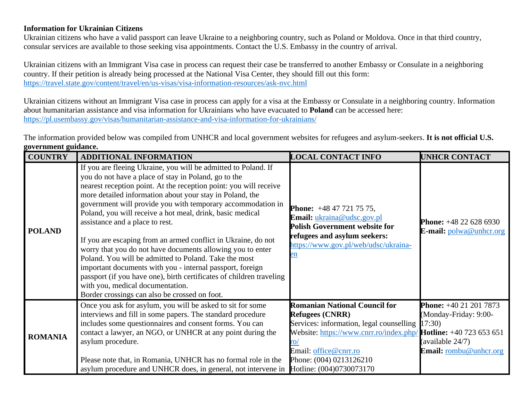## **Information for Ukrainian Citizens**

Ukrainian citizens who have a valid passport can leave Ukraine to a neighboring country, such as Poland or Moldova. Once in that third country, consular services are available to those seeking visa appointments. Contact the U.S. Embassy in the country of arrival.

Ukrainian citizens with an Immigrant Visa case in process can request their case be transferred to another Embassy or Consulate in a neighboring country. If their petition is already being processed at the National Visa Center, they should fill out this form: <https://travel.state.gov/content/travel/en/us-visas/visa-information-resources/ask-nvc.html>

Ukrainian citizens without an Immigrant Visa case in process can apply for a visa at the Embassy or Consulate in a neighboring country. Information about humanitarian assistance and visa information for Ukrainians who have evacuated to **Poland** can be accessed here: <https://pl.usembassy.gov/visas/humanitarian-assistance-and-visa-information-for-ukrainians/>

The information provided below was compiled from UNHCR and local government websites for refugees and asylum-seekers. **It is not official U.S. government guidance.** 

| <b>COUNTRY</b> | <b>ADDITIONAL INFORMATION</b>                                                                                                                                                                                                                                                                                                                                                                                                                                                                                                                                                                                                                                                                                                                                                                                                            | <b>LOCAL CONTACT INFO</b>                                                                                                                                                                                                                                   | <b>UNHCR CONTACT</b>                                                                                       |
|----------------|------------------------------------------------------------------------------------------------------------------------------------------------------------------------------------------------------------------------------------------------------------------------------------------------------------------------------------------------------------------------------------------------------------------------------------------------------------------------------------------------------------------------------------------------------------------------------------------------------------------------------------------------------------------------------------------------------------------------------------------------------------------------------------------------------------------------------------------|-------------------------------------------------------------------------------------------------------------------------------------------------------------------------------------------------------------------------------------------------------------|------------------------------------------------------------------------------------------------------------|
| <b>POLAND</b>  | If you are fleeing Ukraine, you will be admitted to Poland. If<br>you do not have a place of stay in Poland, go to the<br>nearest reception point. At the reception point: you will receive<br>more detailed information about your stay in Poland, the<br>government will provide you with temporary accommodation in<br>Poland, you will receive a hot meal, drink, basic medical<br>assistance and a place to rest.<br>If you are escaping from an armed conflict in Ukraine, do not<br>worry that you do not have documents allowing you to enter<br>Poland. You will be admitted to Poland. Take the most<br>important documents with you - internal passport, foreign<br>passport (if you have one), birth certificates of children traveling<br>with you, medical documentation.<br>Border crossings can also be crossed on foot. | <b>Phone:</b> $+48477217575$ ,<br>Email: ukraina@udsc.gov.pl<br><b>Polish Government website for</b><br>refugees and asylum seekers:<br>https://www.gov.pl/web/udsc/ukraina-<br>en                                                                          | <b>Phone:</b> $+48226286930$<br><b>E-mail:</b> polwa@unhcr.org                                             |
| <b>ROMANIA</b> | Once you ask for asylum, you will be asked to sit for some<br>interviews and fill in some papers. The standard procedure<br>includes some questionnaires and consent forms. You can<br>contact a lawyer, an NGO, or UNHCR at any point during the<br>asylum procedure.<br>Please note that, in Romania, UNHCR has no formal role in the                                                                                                                                                                                                                                                                                                                                                                                                                                                                                                  | <b>Romanian National Council for</b><br><b>Refugees (CNRR)</b><br>Services: information, legal counselling [17:30]<br>Website: https://www.cnrr.ro/index.php/ $Hotline: +40723653651$<br>$\mathsf{ro}/$<br>Email: office@cnrr.ro<br>Phone: (004) 0213126210 | <b>Phone:</b> $+40212017873$<br>(Monday-Friday: 9:00-<br>(available 24/7)<br><b>Email:</b> rombu@unhcr.org |
|                | asylum procedure and UNHCR does, in general, not intervene in Hotline: (004)0730073170                                                                                                                                                                                                                                                                                                                                                                                                                                                                                                                                                                                                                                                                                                                                                   |                                                                                                                                                                                                                                                             |                                                                                                            |